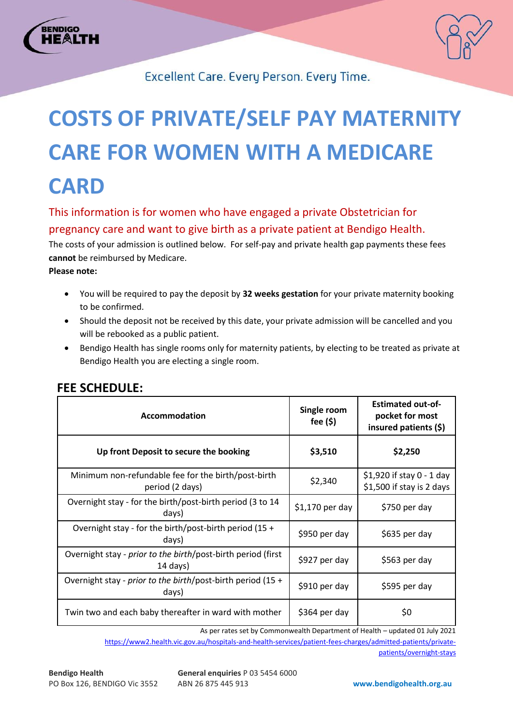



Excellent Care. Every Person. Every Time.

# **COSTS OF PRIVATE/SELF PAY MATERNITY CARE FOR WOMEN WITH A MEDICARE CARD**

This information is for women who have engaged a private Obstetrician for pregnancy care and want to give birth as a private patient at Bendigo Health. The costs of your admission is outlined below. For self-pay and private health gap payments these fees **cannot** be reimbursed by Medicare. **Please note:**

- You will be required to pay the deposit by **32 weeks gestation** for your private maternity booking to be confirmed.
- Should the deposit not be received by this date, your private admission will be cancelled and you will be rebooked as a public patient.
- Bendigo Health has single rooms only for maternity patients, by electing to be treated as private at Bendigo Health you are electing a single room.

| Accommodation                                                              | Single room<br>fee $($ \$) | <b>Estimated out-of-</b><br>pocket for most<br>insured patients (\$) |
|----------------------------------------------------------------------------|----------------------------|----------------------------------------------------------------------|
| Up front Deposit to secure the booking                                     | \$3,510                    | \$2,250                                                              |
| Minimum non-refundable fee for the birth/post-birth<br>period (2 days)     | \$2,340                    | $$1,920$ if stay 0 - 1 day<br>\$1,500 if stay is 2 days              |
| Overnight stay - for the birth/post-birth period (3 to 14)<br>days)        | $$1,170$ per day           | \$750 per day                                                        |
| Overnight stay - for the birth/post-birth period (15 +<br>days)            | \$950 per day              | \$635 per day                                                        |
| Overnight stay - prior to the birth/post-birth period (first<br>$14$ days) | \$927 per day              | \$563 per day                                                        |
| Overnight stay - prior to the birth/post-birth period (15 +<br>days)       | \$910 per day              | \$595 per day                                                        |
| Twin two and each baby thereafter in ward with mother                      | \$364 per day              | \$0                                                                  |

### **FEE SCHEDULE:**

As per rates set by Commonwealth Department of Health – updated 01 July 2021

[https://www2.health.vic.gov.au/hospitals-and-health-services/patient-fees-charges/admitted-patients/private](https://www2.health.vic.gov.au/hospitals-and-health-services/patient-fees-charges/admitted-patients/private-patients/overnight-stays)[patients/overnight-stays](https://www2.health.vic.gov.au/hospitals-and-health-services/patient-fees-charges/admitted-patients/private-patients/overnight-stays)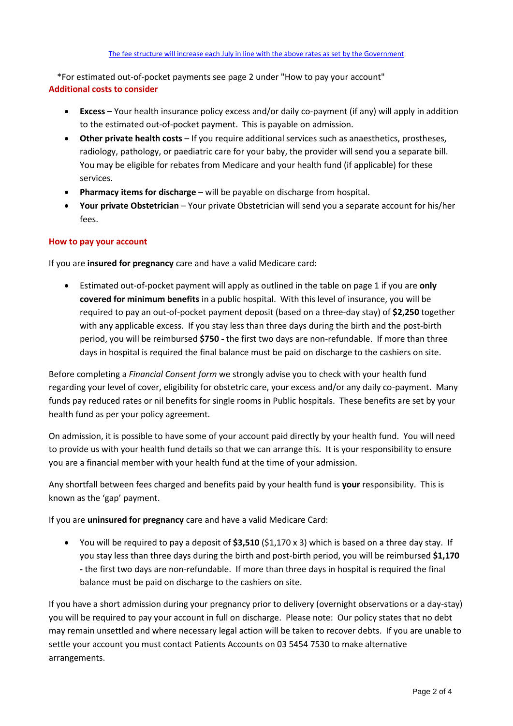\*For estimated out-of-pocket payments see page 2 under "How to pay your account" **Additional costs to consider**

- **Excess** Your health insurance policy excess and/or daily co-payment (if any) will apply in addition to the estimated out-of-pocket payment. This is payable on admission.
- **Other private health costs**  If you require additional services such as anaesthetics, prostheses, radiology, pathology, or paediatric care for your baby, the provider will send you a separate bill. You may be eligible for rebates from Medicare and your health fund (if applicable) for these services.
- **Pharmacy items for discharge** will be payable on discharge from hospital.
- **Your private Obstetrician** Your private Obstetrician will send you a separate account for his/her fees.

#### **How to pay your account**

If you are **insured for pregnancy** care and have a valid Medicare card:

 Estimated out-of-pocket payment will apply as outlined in the table on page 1 if you are **only covered for minimum benefits** in a public hospital. With this level of insurance, you will be required to pay an out-of-pocket payment deposit (based on a three-day stay) of **\$2,250** together with any applicable excess. If you stay less than three days during the birth and the post-birth period, you will be reimbursed **\$750 -** the first two days are non-refundable. If more than three days in hospital is required the final balance must be paid on discharge to the cashiers on site.

Before completing a *Financial Consent form* we strongly advise you to check with your health fund regarding your level of cover, eligibility for obstetric care, your excess and/or any daily co-payment. Many funds pay reduced rates or nil benefits for single rooms in Public hospitals. These benefits are set by your health fund as per your policy agreement.

On admission, it is possible to have some of your account paid directly by your health fund. You will need to provide us with your health fund details so that we can arrange this. It is your responsibility to ensure you are a financial member with your health fund at the time of your admission.

Any shortfall between fees charged and benefits paid by your health fund is **your** responsibility. This is known as the 'gap' payment.

If you are **uninsured for pregnancy** care and have a valid Medicare Card:

 You will be required to pay a deposit of **\$3,510** (\$1,170 x 3) which is based on a three day stay. If you stay less than three days during the birth and post-birth period, you will be reimbursed **\$1,170 -** the first two days are non-refundable. If more than three days in hospital is required the final balance must be paid on discharge to the cashiers on site.

If you have a short admission during your pregnancy prior to delivery (overnight observations or a day-stay) you will be required to pay your account in full on discharge. Please note: Our policy states that no debt may remain unsettled and where necessary legal action will be taken to recover debts. If you are unable to settle your account you must contact Patients Accounts on 03 5454 7530 to make alternative arrangements.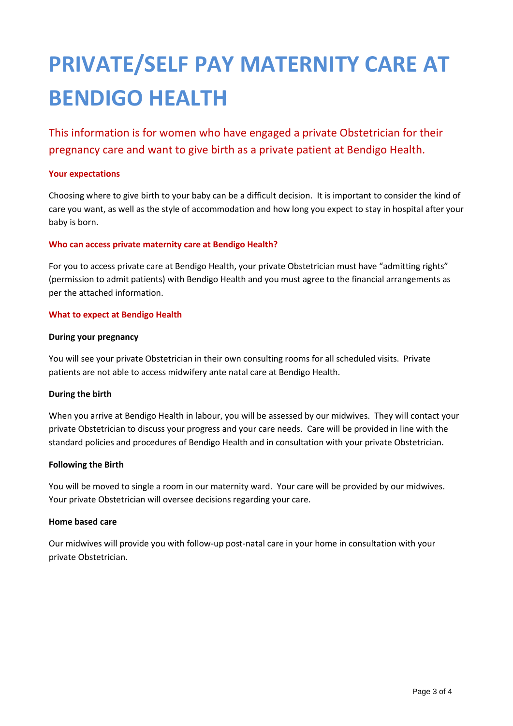## **PRIVATE/SELF PAY MATERNITY CARE AT BENDIGO HEALTH**

This information is for women who have engaged a private Obstetrician for their pregnancy care and want to give birth as a private patient at Bendigo Health.

#### **Your expectations**

Choosing where to give birth to your baby can be a difficult decision. It is important to consider the kind of care you want, as well as the style of accommodation and how long you expect to stay in hospital after your baby is born.

#### **Who can access private maternity care at Bendigo Health?**

For you to access private care at Bendigo Health, your private Obstetrician must have "admitting rights" (permission to admit patients) with Bendigo Health and you must agree to the financial arrangements as per the attached information.

#### **What to expect at Bendigo Health**

#### **During your pregnancy**

You will see your private Obstetrician in their own consulting rooms for all scheduled visits. Private patients are not able to access midwifery ante natal care at Bendigo Health.

#### **During the birth**

When you arrive at Bendigo Health in labour, you will be assessed by our midwives. They will contact your private Obstetrician to discuss your progress and your care needs. Care will be provided in line with the standard policies and procedures of Bendigo Health and in consultation with your private Obstetrician.

#### **Following the Birth**

You will be moved to single a room in our maternity ward. Your care will be provided by our midwives. Your private Obstetrician will oversee decisions regarding your care.

#### **Home based care**

Our midwives will provide you with follow-up post-natal care in your home in consultation with your private Obstetrician.